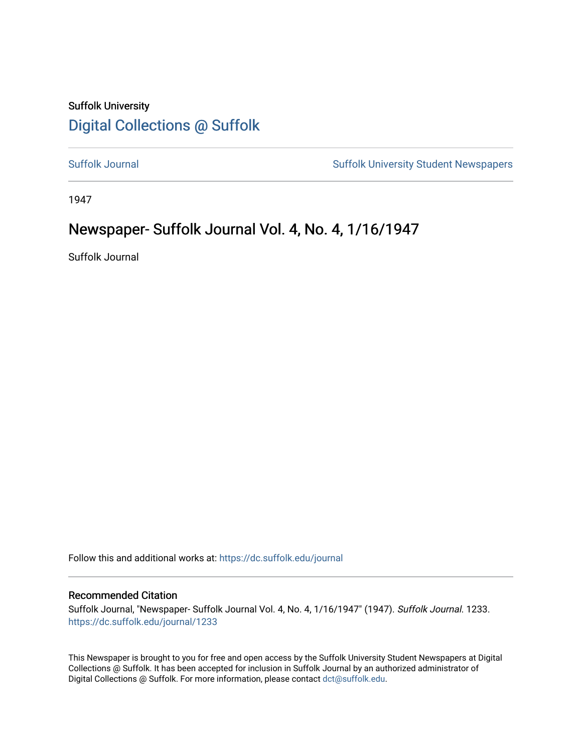## Suffolk University [Digital Collections @ Suffolk](https://dc.suffolk.edu/)

[Suffolk Journal](https://dc.suffolk.edu/journal) [Suffolk University Student Newspapers](https://dc.suffolk.edu/newspapers) 

1947

## Newspaper- Suffolk Journal Vol. 4, No. 4, 1/16/1947

Suffolk Journal

Follow this and additional works at: [https://dc.suffolk.edu/journal](https://dc.suffolk.edu/journal?utm_source=dc.suffolk.edu%2Fjournal%2F1233&utm_medium=PDF&utm_campaign=PDFCoverPages)

### Recommended Citation

Suffolk Journal, "Newspaper- Suffolk Journal Vol. 4, No. 4, 1/16/1947" (1947). Suffolk Journal. 1233. [https://dc.suffolk.edu/journal/1233](https://dc.suffolk.edu/journal/1233?utm_source=dc.suffolk.edu%2Fjournal%2F1233&utm_medium=PDF&utm_campaign=PDFCoverPages) 

This Newspaper is brought to you for free and open access by the Suffolk University Student Newspapers at Digital Collections @ Suffolk. It has been accepted for inclusion in Suffolk Journal by an authorized administrator of Digital Collections @ Suffolk. For more information, please contact [dct@suffolk.edu](mailto:dct@suffolk.edu).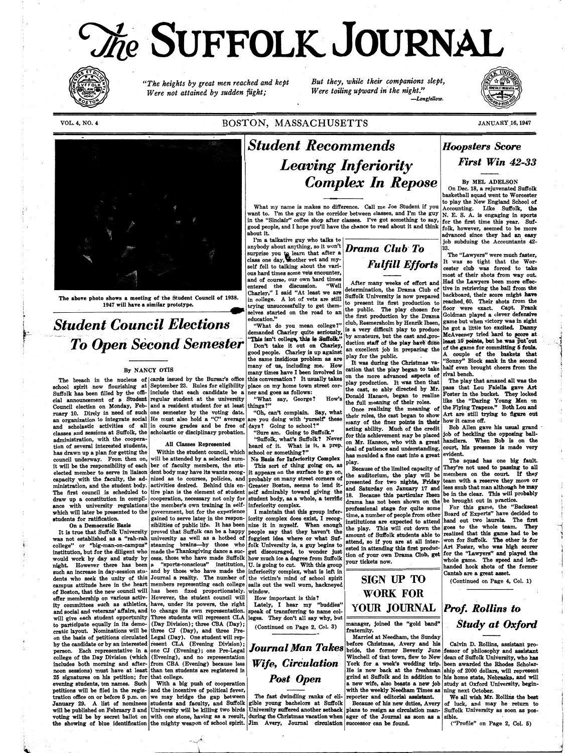}' <sup>~</sup>

~-! '.

"

 $\sum_{i=1}^{n}$ 

# *')he* **·SUFFOLK JOURNAL**



VOL. **4, NO. 4** 

*"The heights by great men reached and kept Were not attained by sudden flight;* 

*But they, while their companions slept,* 

On Dec. 18, a rejuvenated Suffolk basketball squad went to Worcester to play the New England School of Accounting. Like Suffolk, the Figure 1. I'm a talkative guy who talks to job subduing the Accountants 42-<br>hybody about anything, so it won't **Drama Club To** 33.

*Were toiling upward in' the night."* 

demanded Charley quite seriously,  $\begin{bmatrix} 1 & 0 \\ 0 & 0 \end{bmatrix}$  by amateurs, but the cast and pro-. McAveeney tried hard to score at

their roles, the cast began to show Art are still trying to figure out many of the finer points in their how it came off. tion of several interested students, . All Classes Represented heard of it. What is it, a prep. deal of patience and understanding, court, his presence is made very has drawn up a plan for getting the within the student co

*-Longfellow.* 

## BOSTON, MASSACHUSETTS



What my name is makes no difference. Call me Joe Student if you want to. I'm the guy in the corridor between classes, and I'm the guy  $N$ . E. S. A. is engaging in sports in the "Sinclair'' coffee shop after classes. I've got something to say, for the first time this year. Sufgood people, and I hope you'll have the chance to read about it and think  $f_{\text{olk}}$ , however, seemed to be more about it.

**JANUARY.16, 1947** 

*Hoopsters Score First Win* 42-33

**By MEL ADELSON** 

anyb~dy about anything, so it won't *Drama Club· To* 88 .. surprise you to learn that after a . The "Lawyers" were much faster, class one day, whother vet and my-<br> **p**<sub>1</sub>*r* = **p**<sub>1</sub>*r* = **p**<sub>1</sub>*r* = **p**<sub>1</sub>*r* = **p**<sub>1</sub>*r* = **p**<sub>1</sub>*r* = **p**<sub>1</sub>*r* = **p**<sub>1</sub><sup>*r*</sup> = **p**<sub>1</sub><sup>*r*</sup> = **p**<sub></sub>

This isn't college, this is Suitoik." duction staff of the play have do good people. Charley is up against  $\begin{bmatrix} \text{an} \\ \text{play} \text{ for the public.} \\ \text{It is a similar to the public.} \end{bmatrix}$ 

which will later be presented to the government, but for the experience  $\vert$  I maintain gained to serve later in the responiority complex does exist, I recogthat this group infer-  $\frac{1}{1}$  time, a number of people from other Board of Experts" have decided to tudents for ratification. gam o serve a ~ m e respon- 10n y comp ex oes exis , recog- . tituti s re expected to attend hand out two laurels. The first On a Democratic Basis sibilities of public life. It has been nize it in myself. When enough  $\begin{array}{|l|l|}\n$  the play. This will cut down the goes to the whole team. They it is true that Suffolk University proved that Suffo It is true that Suffolk University proved that Suffolk can be a happy people say that they haven't the ends. This will be volume to realized that this game had to be was not established as a "rah-rah university as well as college" or "big-man-on-campus" steaming brains—by those who folk University is, a guy begins to avenue, so in you are at an inter-<br>institution, but for the diligent who made the Thanksgiving dance a suc-<br>would work by day institution, but for the diligent who made the Thanksgiving dance a suc- get discouraged, to wonder just would work by day and study by cess, those who have made Suffolk how much ice a degree from Suffolk your tickets now. Whole game. The speed and leftnight. However there has been a "sports-conscious" institution, U is going to cut. With this group your tickets now. such an increase in day-session stu- and by those who have made the inferiority-complex, what is left in CANA TID Cantab are a great asset. dents who seek the unity of this Journal a reality. The number of the victim's mind of school spirit  $\parallel$  SIGN UP TO (Continued on Page 4, Col. 1) campus attitude here in the heart members representing each college sails out the well worn, hackneyed of Boston, that the new council will has been fixed proportionately. window.<br>  $\mathbf{WORK}$  **WORK** FOR offer membership on various activ- However, the student council will  $\vert$  How important is this? ity committees such as athletics, have, under its powers, the right Lately, I hear my "buddies"  $\text{YOUR}$  JOURNAL and social and veterans' affairs, and to change its own representation. Speak of transferring to name col and social and veterans' affairs, and to change its own representation. speak of transferring to name colwill give each student opportunity Three students will represent CLA leges. They don't all say why, but to participate equally in its demo- (Day Division); three CBA  $(Day)$ ; (Continued on Page 2, Col. 3) manager, joined the "gold band" cratic layout. Nominations will be three CJ  $(Day)$ , and three Precratic layout. Nominations will be three CJ (Day), and three Preon the basis of petitions circulated Legal (Day). One student will rep- Married at Needham, the Sunday *Prof. Rollins to Study at Oxford*  by the candidate or by an interested resent CLA (Evening Division); Journal Man Takes before Christmas, Avery and his Calvin D. Rollins, assistant pro-<br>person. Each representative in a one CJ (Evening); one Pre-Legal Journ person. Each representative in a one CJ (Evening); one Pre-Legal **JOUFFICUL FILUTE 1. UFCS** bride, the former Beverly June fessor of philosophy and assistant college of the Day Division (which (Evening), and no representat college of the Day Division (which (Evening), and no representation  $\left|$  **Wife, Circulation** includes both morning and after-<br>from CBA (Evening) because less Wife, Circulation includes both morning and after- from CBA (Evening) because less *Wife*, *Circulation* York for a week's wedding trip. been awarded the Rhodes Scholar-<br>noon sessions) must have at least than ten students are registered in noon sessions) must have at least than ten students are registered in 25 signatures on his petition; for that college. *Post Open* grind at Suffolk and in addition to his home state, Nebraska, and will evening students, ten names. Such With a big push of cooperation  $\overline{P}$   $\overline{P}$   $\overline{P}$  a new wife, also boasts a new job study at Oxford University, beginpetitions will be filed in the regis- and the incentive of political fever, with the weekly Needham Times as ning next October. tration office on or before 5 p.m. on we may bridge the gap between The fast dwindling ranks of eli- reporter and editorial assistant. We all wish Mr. Rollins the best January 29. A list of nominees students and faculty, and Suffolk gible young bachelors at Suffolk Because of his new duties, Avery of luck, and may he return to will be published on February 3 and University will be killi will be published on February 3 and University will be killing two birds University suffered another setback plans to resign as circulation manvoting will be by secret ballot on with one stone, having as a result, during the Christmas vacation when ager of the Journal as soon as a sible. the showing of blue identification the mighty weapon of school spirit. Jim Avery, Journal circulation successor can be found. ("Profile" on Page 2, Col. 5)

class one day, whother vet and my-<br>self fell to talking about the vari-<br>ous hard times some vets encounter,<br> $\begin{array}{c} \text{with } \text{the unit number} \\ \text{the unit number} \\ \text{the unit number} \\ \text{the unit number} \\ \text{the unit number} \\ \text{the unit number} \\ \text{the unit number} \\ \text{the unit number} \\ \text{the unit number} \\ \text{the unit number} \\ \text{the unit number} \\ \text{the unit number} \\ \text{the$ ous hard times some vets encounter,<br>and of course, our own hard times a fter many weeks of effort and Had the Lawyers been more effecand of course, our own hard times<br>entered the discussion. "Well After many weeks of effort and Had the Lawyers been more effec-<br>Charley." I said "At least we are determination, the Drama Club of tive in retrieving the bal Shows a meeting of the Student Council of 1938.<br>
That is in college. A lot of vets are still suffolk University is now prepared backboard, their score might have<br>
in college. A lot of vets are still suffolk University is n the public. The play chosen for floor were exact. Capt. Frank of the game for committing 5 fouls. . A couple of the baskets that

has drawn up a plan for getting the \_Within the student council, which school o~ somethin~? • has moulded a fine cast into a great evident. council underway. From then on, will be attended by a selected num- No Basis for Inferiority Complex  $\frac{1}{100}$   $\frac{1}{100}$ . The squad has one big fault.<br>It will be the responsibility of each ber of faculty members, the elected member to serve in liaison dent body may have its wants recog- it appears on the surface to go on, capacity with the faculty, the ad- nized as to courses, policies, and probably on many street corners of ministration, and the student body. activities desired. Behind this en- Greater Boston, seems to lend itactivities desired. Behind this en- Greater Boston, seems to lend it- *presenced* for one January 17 and less snub that man although he may<br>tire plan is the element of student gelf admirably toward giving the and Saturday The first council is scheduled to tire plan is the element of student self admirably toward giving the draw up a constitution in compli- cooperation, necessary not only for student body, as a whole, a terrific drama has not been shown on the be brought out in practice.<br>ance with university regulations the member's own train ance with university regulations the member's own training in self- inferiority complex.<br>ance with university regulations the member's own training in self- inferiority complex.

> $\mathbb{R}$ 1

*---1.c~* 

By NANCY OTIS<br>By NANCY OTIS<br>cleus of cards issued by the Bursar's office this conversation? It usually takes on the more advanced aspects of rival bench.

## classes and sessions at Suffolk, the scholastic or disciplinary probation. ::sure am. Going to Suffolk."<br>administration, with the coopera-<br>contraction of the operation of the opportunity of the opportunity of the opportuni

;\_j *:1*  i. *i* 

.I

administration, with the coopera-<br>
ion of several interested students, All Classes Represented heard of it. What is it, a prep. on Mr. Hanson, who with a great handlers. When Bob is on the

Because of the limited capacity of They're not used to passing to all the auditorium, the play will be members on the court. If they presented for two nights, Friday team with a reserve they more or

The above photo shows a meeting of the Student Council of 1938.

## $Student$  Council Elections  $\frac{e^{ducation."}}{demanded$  Charley quite seriously, as a very difficult play to produce the gcd of hard to score at the log of a little too excited.To Open Second Semester This isn't college, this is Suffolk." Dy amateurs, but the clast and pro-<br>mort take it out on Charley, duction staff of the play have done

The breach in the nucleus of cards issued by the Bursar's office this conversation? It usually takes on the more advanced aspects of the books. The play that amazed all was the school spirit now flourishing at September 2 Suffolk has been filled by the offi- include that each candidate be a ner and goes as follows: cial announcement of a Student regular student at the university "What say, George? How's Donald Hanson, began to realize Fost cial announcement of a Student regular student at the university . What say, George? How's bouncil election on Monday, Feb and a resident student for at least things?"<br>Council election on Monday, Feb and a resident studen Council election on Monday, Feb- and a resident student for at least things?"<br>ruary 10. Direly in need of such one semester by the voting date. "Oh, can't complain. Say, what ruary 10. Direly in need of such one semester by the voting date. "On, can't complain. Say, what their roles, the cast began to show Art are still to an organization to integrate social He must also hold a "C" average are ruary 10. Direly in need of such one semester by the voting date. and scholastic activities of all in course grades and be free of days? Going to school?" clearly of the method of the credit Bob Allen gave his usual grand classes and sessions at Suffolk, the scholastic or disciplinary pr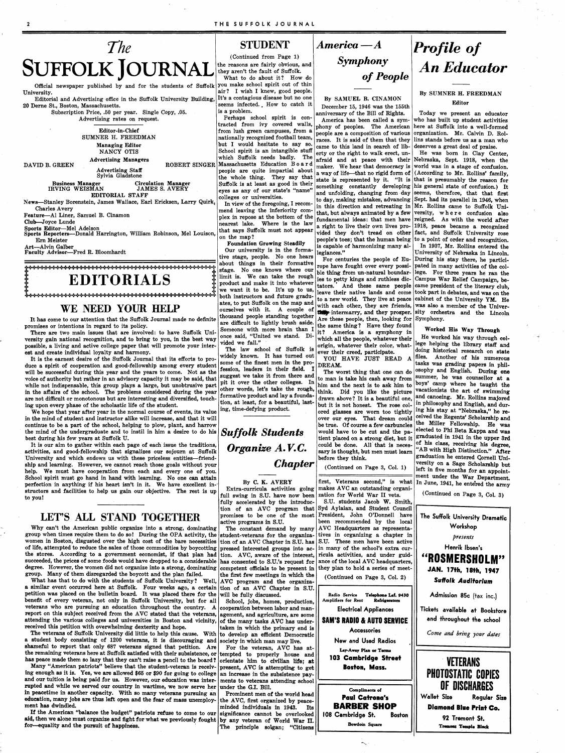(Continued from Page 1) they aren't the fault of Suffolk. What to do about it? How do Suffolk you make school spirit out of thin  $\begin{bmatrix} 2 \end{bmatrix}$  air? I wish I knew, good people.

It's a contagious disease but no one  $\begin{array}{c|c} \text{By SAMUEL B. CINAMON} \\ \text{seems infected.} \end{array}$  How to catch it personance 15, 1946 was the 15 seems infected. How to catch it December 15, 1946 was the 155th<br>is a problem.

tracted from ivy covered walls, phony of peoples. The American from lush green campuses, from a poople are a composition of various nationally recognized football team,  $\begin{vmatrix} \text{pc} \text{cm} & \text{pc} \text{cm} \\ \text{races.} \end{vmatrix}$  is said of them that they but I would hesitate to say so and the simulation seems of libbut I would hesitate to say so. came to this land in search of lib-<br>School spirit is an intangible stuff arty or the right to walk erect un-School spirit is an intangible stuff  $\left|\frac{\text{erty}}{\text{erty}}\right|$  or the right to walk erect, un-<br>which Suffolk needs badly. The stuff and at peace with their ROBERT SINGER Massachusetts Education Bo a r d  $\begin{bmatrix} 1 & 0 & 0 \\ 0 & \text{make} \\ 0 & \text{work} \end{bmatrix}$  raker. We hear that democracy is the whole thing. They say that Suffolk is at least as good in their eyes as any of our state's "name" colleges or universities.

In view of the foregoing, I recom-<br> $\begin{bmatrix} 1 & 1 & 1 & 1 \\ 1 & 1 & 1 & 1 \\ 1 & 1 & 1 & 1 \end{bmatrix}$  in this direction and retreating in few plex in repose at the bottom of the fundamental ideas: that men have nearest lake. Where is the law a right to live their own lives pro-<br>that says Suffolk must not appear  $\left| \right|$  right their dentity and an other

Our university is in the forma- $\begin{bmatrix} \text{is capture} \\ \text{legiances.} \end{bmatrix}$ tive stage, people. No one hears  $\begin{vmatrix} \cos \theta & -\sin \theta \\ \cos \theta & \cos \theta \end{vmatrix}$  for centuries the people of Euabout things in their formative rope have fought over every possi-<br>stage. No one knows where our  $\frac{1}{h}$  thing from up notional boundary stage. No one knows where our ble thing from un-natural boundar-<br>limit is. We can take the rough  $\log t_0$  potty kings and withless die. product and make it into whatever  $\begin{bmatrix} 1 & 1 \\ 1 & 0 \end{bmatrix}$  tators.<br>
we want it to be. It's up to us,  $\begin{bmatrix} 1 & 1 \\ 1 & 0 \end{bmatrix}$ ates, to put Suffolk on the map and with each other, they are friends,  $\frac{1}{2}$  with each other, they are friends, thousand people standing together are difficult to lightly brush aside. are difficult to lightly brush aside. the same thing? Have they found<br>Someone with more brain than  $I|_{it}$ , Amorian is a symphony in

The law school of Suffolk is  $\begin{bmatrix} \text{ever their created, participate.} \\ \text{Widely known.} \end{bmatrix}$  and  $\begin{bmatrix} \text{curved, } \\ \text{VOU.} \end{bmatrix}$  HAVE JUST READ A some of the finest men in the pro- DREAM. fession, leaders in their field. I The worst thing that one can do suggest we take it from there and to man is take his cash away from pit it over the other colleges. In  $\lim_{n \to \infty}$  and the next is to self him to pit it over the other colleges. In him and the next is to ask him to other words, let's take the rough,  $\frac{1}{k+1}$ . Did roughly the picture formative product and lay a founda-  $\frac{m}{dr}$  drawn above? It is a beautiful one, tion, at least, for a beautiful, last- but it is not honest. The rose col-



Official newspaper published by and for the students of Suffolk University.

## *Symphony*  of *People*

anniversary of the Bill of Rights. Perhaps school spirit is con-<br>tracted from ivy covered walls, there is has been called a sym-<br>tracted from ivy covered walls, phony of pooples The American people are a composition of various afraid and at peace with their a way of life--that no rigid form of  $|$ to day, making mistakes, advancing that, but always animated by a few that says Suffolk must not appear vided they don't tread on other fact, and Suffolk University rose on the map?<br> **Foundation Growing Steadily**<br>
people's toes; that the human being<br>
is earnable of harmonizing many alis capable of harmonizing many alstate is represented by it. "It is that is presumably the reason for something constantly developing his general state of confusion.) It

ies to petty kings and ruthless dicwe want it to be. It's up to us, leave their native lands and come took part in debates, and was on the both instructors and future gradu-<br>to a new world. They live at peace cabinet of the University YM. He the intermarry, and they prosper. it? America is a symphony in once said, "United we stand. Di- $\begin{bmatrix} 1 & 1 \\ 1 & 1 \end{bmatrix}$  the people, whatever their<br>vided we fall." ded we fall."<br>The law school of Suffolk is over their apped porticipate Are these people, then, looking for Symphony.

Editorial and Advertising office in the Suffolk University Building, 20 Derne St., Boston, Massachusetts.

> Subscription Price, .50 per year. Single Copy, .05. Advertising rates on request.

> > **Editor-in-Chief**  SUMNER H. FREEDMAN **Managing Editor**  NANCY OTIS **Advertising Managers**

### Business Manager **and Circulation Manager** Suffolk is at least as good in their state's "something constantly developing in IRVING WEISMAN JAMES S. AVERY as any of our state's "name" and unfolding, changing from day **EDITORIAL STAFF**

DAVID B. GREEN

News-Stanley Borenstein, James Wallace, Earl Ericksen, Larry Quirk, Charles A very

**Advertising Staff**  Sylvia Gladstone

We hope that year after year in the normal course of events, its value ing, time-defying product. in the mind of student and instructor alike will increase, and that it will continue to be a part of the school, helping to plow, plant, and harrow the mind of the undergraduate and to instil in him a desire to do his best during his few years at Suffolk U.

**Feature-Al** Liner, Samuel B. Cinamon

Club-Joyce Lunde

Sports Editor-Mel Adelson Sports Reporters-Donald Harrington, William Robinson, Mel Louison, Ern Meister

Art-Alvin Galber

**Faculty** Advisor-Fred R. Bloomhardt

EDITORIALS

## WE NEED YOUR HELP

It has come to our attention that the Suffolk Journal made no definite promises or intentions in regard to its policy.

There are two main issues that are involved: to have Suffolk University gain national recognition, and to bring to you, in the best way possible, a living and active college paper that will promote your interest and create individual loyalty and harmony.

It is the earnest desire of the Suffolk Journal that its efforts to produce a spirit of cooperation and good-fellowship among every student will be successful during this year and the years to come. Not as the will be successful ultima the year and the years to come. Two as the suggest we take it from there and voice of authority but rather in an advisory capacity it may be said, that  $\frac{1}{n}$  it is the same that the colleges. while not indispensable, this group plays a large, but unobtrusive part in the affairs of the school. The problems considered during the year are not difficult or monotonous but are interesting and diversified, touching upon every phase of the scholastic life of the student.

> full swing in S.U. have now been zation for World War II vets. fully accelerated by the introducactive programs in S.U.

Using the Irst rew meetings in which the Continued on Page 3, Col. 2)<br>What has that to do with the students of Suffolk University? Well, AVC program and the organiza-<br>similar event occurred here at Suffolk. Four weeks ago,

think. Did you like the picture ored glasses are worn too tightly over our eyes. That dream could be true. Of course a few carbuncles would have to be cut and the patient placed on a strong diet, but it  $s^{\text{raduated}}$  in 1941 in the upper 3rd could be done. All that is necessary is thought, but men must **learn**  before they think.

Extra-curricula activities going makes AVC an outstanding organifirst, Veterans second," is what

tion of an AVC program that Syd Aylaian, and Student Council promises to be one of the most President, John O'Donnell have S.U. students Jacob W. Smith, been recommended by the local The constant demand by many AVC Headquarters as representa-

It is our aim to gather within each page of each issue the traditions, activities, and good-fellowship that signalizes our sojourn at Suffolk University and which endows us with these priceless entities-friendship and learning. However, we cannot reach those goals without your help. We must have cooperation from each and every one of you. School spirit must go hand in hand with learning. No one can attain perfection in anything if his heart isn't in it. We have excellent in-· structors and facilities to help us gain our objective. The rest is up to you!

### LET'S ALL STAND TOGETHER

Why can't the American public organize into a strong, dominating group when times require them to do so! During the OPA activity, the student-veterans for the organiza- tives in organizing a chapter in women in Boston, disgusted over the high cost of the bare necessities tion of an AVC Chapter in S.U. has S.U. These men have been active of life, attempted to reduce the sales of those commodities by boycotting pressed interested groups into ac- in many of the school's extra curthe stores. According to a government economist, if that plan had tion. AVC, aware of the interest, ricula activities, and under guidsucceeded, the prices of some foods would have dropped to a considerable has consented to S.U.'s request for ance of the local AVC headquarters, degree. However, the women did not organize into a strong, dominating competent officials to be present in they plan to hold a series of meetgroup. Many of them disregarded the boycott and the plan failed. | the first few meetings in which the

similar event occurred here at Suffolk. Four weeks ago, a certain tion of an AVC Chapter in S.U. petition was placed on the bulletin board. It was placed there for the will be fully discussed. benefit of every veteran, not only in Suffolk University, but for all School, jobs, homes, production, veterans who are pursuing an education throughout the country. A cooperation between labor and manreport on this subject received from the AVC stated that the veterans, agement, and agriculture, are some attending the various colleges and universities in Boston and vicinity, of the many tasks AVC has underreceived this petition with overwhelming dexterity and hope.  $\vert$  taken in which the primary end is The veterans of Suffolk University did little to help this cause. With to develop an efficient Democratic a student body consisting of  $1200$  veterans, it is discouraging and society in which man may live. shameful to report that only 687 veterans signed that petition. Are For the veteran, AVC has atthe remaining veterans here at Suffolk satisfied with their subsistence, or tempted to properly house and has peace made them so lazy that they can't raise a pencil to the board? orientate him to civilian life; at Many "American patriots" believe that the student-veteran is receiv- present, AVC is attempting to get ing enough as it is. Yes, we are allowed \$65 or \$90 for going to college an increase in the subsistence payand our tuition is being paid for us. However, our education was inter- ments to veterans attending school rupted and while we served our country in wartime, we now serve her under the G.I. Bill. in peacetime in another capacity. With so many veterans pursuing  $\alpha n$  Prominent men of the world head education, many jobs are thus left open and the fear of mass unemploy- the AVC, first organized by peace-<br>ment has dwindled. minded individuals in 1943. Its If the American "balance the budget" patriots refuse to come to our significance cannot be overlooked aid, then we alone must organize and fight for what we previously fought by any veteran of World War II. for-equality and the pursuit of happiness. The principle solgan; "Citizens **Radio Service Telephone Laf. 9430 Amplifiers for Rent Refrigerators Electrical Appliances SAM'S RADIO** & **AUTO SERVICE**  Accessories New . and Used **Radios**  Lay-Away Plan or Terms **103 Cambridge Street Boston, Mass.**  Compliments of Paul Catrona's **BARBER SHOP** I 08 Cambridge St. **Boston Bowdoin Square**  Admission 85c (tax inc.) Tickets **available at Bookstore**  and throughout the school *Come and bring your dates*  VETERANS PHOTOSTATIC COPIES OF DISCHARGES **Wallet Size Regular Size Diamond Blue Print Co.**  92 Tremont St. **Tremont Temple Block** 

He worked his way through college helping the library staff and doing historical research on state files. Another of his numerous tasks was grading papers in philosophy and English. During one summer, he was counsellor at a boys' camp where he taught the vacationists the art of swimming and canoeing. Mr. Rollins majored in philosophy and English, and during his stay at "Nebraska," he received the Regents' Scholarship and the Miller Fellowship. He was elected to Phi Beta Kappa and was of his class, receiving his degree, "AB with High Distinction." After graduation he entered Cornell University on a Sage Scholarship but left in five months for an appointment under the War Department. In June, 1941, he entered the army

*Suffolk Students Organize A. V.C. Chapter* 

### By C. **K. AVERY**

(Continued on Page 3, Col. 1)

## *Profile of An Educator*

### By SUMNER **H. FREEDMAN Editor**

Today we present an educator who has built up student activities here at Suffolk into a well-formed organization. Mr. Calvin D. Rollins stands before us as a man who deserves a great deal of praise.

He was born in Clay Center, Nebraska, Sept. 1918, when the world was in a stage of confusion. (According to Mr. Rollins' family, seems, therefore, that that first Sept. had its parallel in 1946, when Mr. Rollins came to Suffolk University, where confusion also reigned. As with the world after 1918, peace became a recognized to a point of order and recognition. In 1937, Mr. Rollins entered the

University of Nebraska in Lincoln. During his stay there, he participated in many activities of the college. For three years he ran the Campus War Relief Campaign, be-And these same people came president of the literary club, was also a member of the University orchestra and the Lincoln

### **Worked His Way Through**

( Continued on Page 3, Col. 3)

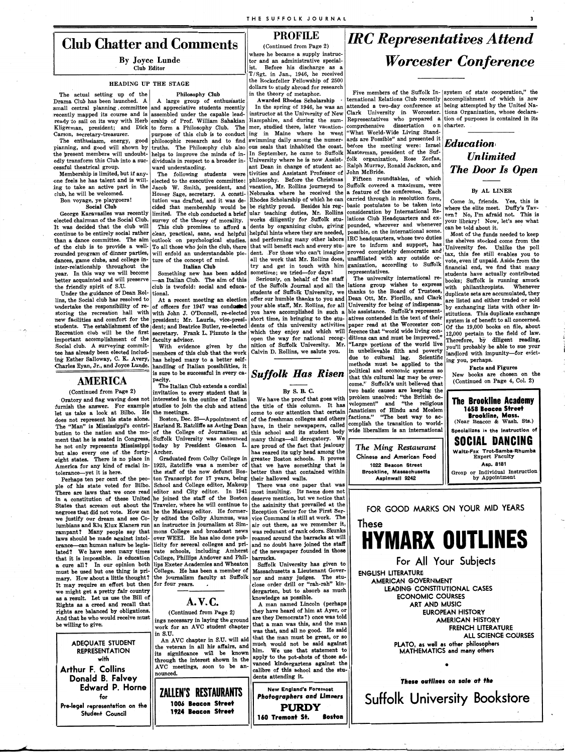## **Club Chatter and Comments PROFILE** *(Continued from Page 2)*

By Joyce Lunde Club Editor

Kligerman, president; and Dick to form a Philosophy Club. The mer, studied there, later vacation- comprenensive dissertation on Carson, secretary-treasurer. purpose of this club is to conduct ing in Maine where he went

elected chairman of the Social Clu It was decided that the club wil It was decided that the club will This club promises to afford a dents by organizing clubs, giving pounded, wherever and whenever can be told about it.<br>
continue to be entirely social rather clear, practical, sane, and he rounded program of dinner parties, will enfold an understandable pic- dent. For those who can't imagine proved completely democratic and  $\begin{vmatrix} 1 & 1 \\ 2 & 3 \end{vmatrix}$  all the work that Mr. Rollins does, unaffiliated with any

let us take a look at Bilbo. He the meetings.<br>deep not represent his state alone. Boston Dec 23—Appointment of of the freshman colleges and others factions." "The best way to acdoes not represent his state alone. Boston, Dec. 23—Appointment of of the freshman colleges and others ractions." The best way to ac-<br>The "Man" is Mississippi's contri- Harland R. Ratcliffe as Acting Dean have, in their ne The "Man" is Mississippi's contri- Harland R. Ratcliffe as Acting Dean have, in their newspapers, called complish the transition to worldbution to the nation and the mo- of the College of Journalism at this school and its student body wide liberalism is an international **Specializes** in the instruction of **11 Specializes** in the instruction of ment that he is seated in Congress, Suffolk University was announced many things—all derogatory. We The Ming Restaurant SOCIAL DANCING but also every one of the forty- Archer. has reared its ugly head among the eight states. There is no place in Graduated from Colby College in greater Boston schools. It proves America for any kind of racial in- 1923, Ratcliffe was a member of that we have something that is tolerance-yet it is here. the staff of the now defunct Bos- better than that contained within

ple of his state voted for Bilbo. School and College editor, Makeup There was one paper that was There are laws that we once read editor and City editor. In 1941 most insulting. Its name does not in a constitution of these United he joined the staff of the Boston deserve mention, but we notice that in a constitution of these United he joined the staff of the Boston deserve mention, but we notice that States that scream out about the Traveler, where he will continue to the asininity that prevailed at the States that scream out about the Traveler, where he will continue to negroes that did not vote. How can be the Makeup editor. He former- Reception Center for the First Ser-<br>we justify our dream and see Co- ly edited the Colby Alumnus, was vice Command is still at work. The we justify our dream and see Co- ly edited the Colby Alumnus, was lumbians and Klu Klux Klaners run an instructor in journalism at Sim- air out there, as we remember it, rampant? Many people say that mons College and broadcast news was redunant of rank odors. Skunks laws should be made against intol- over WEEI. He has also done pub- roamed around the barracks at will laws should be made against intol- over WEEI. He has also done pub- roamed around the barracks at will<br>erance—can human nature be legis- licity for several colleges and pri- and no doubt have joined the staff erance—can human nature be legis- licity for several colleges and pri- and no doubt have joined the staff<br>lated? We have seen many times vate schools, including Amherst of the newspaper founded in those lated? We have seen many times vate schools, including Amherst that it is impossible. Is education College, Phillips Andover and Phil- barracks. a cure all? In our opinion both lips Exeter Academies and Wheaton Suffolk University has given to must be used but one thing is pri- College. He has been a member of Massachusetts a Lieutenant Govermust be used but one thing is pri- College. He has been a member of mary. How about a little thought? the journalism faculty at Suffolk nor and many judges. The stu-<br>It may require an effort but then for four years. It may require an effort but then for four years.

Drama Club has been launched. A A large group of enthusiastic **Awarded Rhodes Scholarship** · ternational Relations Club recently accomplishment of which is now terms of the United Ne small central planning, committee and appreciative students recently In the spring of 1946, he was an attended a two-day conference at being attempted by the United Narecently mapped its course and is assembled under the capable lead- instructor at the University of New Clark University in Worcester. tions Organization, whose declara-<br>ready to sail on its way with Herb ership of Prof. W ready to sail on its way with Herb ership of Prof. William Sahakian Hampshire, and during the sum- Representatives who prepared a tion of purpose its variable who prepared a tion of purpose is contained in the Kligerman, p

cessful theatrical group.  $\sqrt{\frac{m}{\pi}}$  ward understanding.  $\sqrt{\frac{m}{\pi}}$  ant Dean in change of student ac-

one feels he has talent and is will- elected to the executive committee: philosophy. Before the Christmas ing to take an active part in the Jacob W. Smith, president, and vacation, Mr. Rollins journeyed to Suffolk covered a maximum, were club, he will be welcomed. Homer Sage, secretary. A consti- Nebraska where he received the a feature of the conference. Each By AL LINER Bon voyage, ye playgoers! tution was drafted, and it was de- Rhodes Scholarship of which he can carried through in resolution form, C . f . d y th' . S . I **Cl b** b . . . b . t I t t b t k . t ome m, nen s. es, is is Social Club cided that membership would be the rightly proud. Besides his reg- basic postulates to be taken into where the elite meet. Duffy's Tav-<br>Clause Keepersillon was recently in the club contacted a brief ular teachi eorge Karavasiles was recently limited. The club conducted a brief ular teaching duties, Mr. Rollins consideration<br>ted chairman of the Secial Club survey of the theory of manelity. Works diligently for Suffolk stu-slations . survey of the theory of morality. works diligently for Suitolk stu- lations due headquarters at  $\frac{1}{2}$  your library! Now, let's see what it was decided that the club will This club promises to afford a dents by organizing clubs, giving pounded, wherever and whenever can be told about it

outlook on psychological studies.

Social club. A surveying commit-<br>tee has already been elected includ- members of this club that the work Calvin D. Rollins, we salute you. in unbelievable filth and poverty andlord with impunity—for evicttee has already been elected includ- members of this club that the work Calvin D. Rollins, we salute you. In unbelievable filth and poverty landlord with impunity—for evicting the state of the set of the set of the set of 11 C K A d 1 1 1 S . t'fi an or w1 1mpu i y- or vi - mg Est er a oway, , , very, has helped many to a better self- ------- ue t\_o cu tura ag. c1en 1 c . <sup>1</sup>  $\frac{1}{2}$  handling of Italian possibilities, it  $\frac{1}{2}$  and  $\frac{1}{2}$  methods must be applied to the  $\frac{1}{2}$  Facts and Figures

Perhaps ten per cent of the peo- ton Transcript for  $17$  years, being their hallowed walls.

where he became a supply instructor and an administrative specialist. Before his discharge as a

 $T/Sgt.$  in Jan., 1946, he received **HEADING UP THE STAGE**  $\left| \begin{array}{c} \text{the Rockefeller Fellowship of } 2500 \\ \text{dollar to study should be to be a good for research } \end{array} \right|$ dollars to study abroad for research

Membership is limited, but if any- The following students were tivities and Assistant Professor of John McBride.<br>As following the has telept and is will elected to the executive committee; philosophy. Before the Christmas

## **IRC Representatives Attend Worcester Conference**

The enthusiasm, energy, good philosophic research and to find swimming daily among the numer- ards are Possible" and presented it planning, and good will shown by truths. The Philosophy club also ous seals that inhabited the coast. before the meeting were: Israel the present members will undoubt- helps to improve the minds of in- In September, he came to Suffolk Masterman, president of the Sufedly transform this Club into a suc-<br>cessful theatrical group.<br>cessful theatrical group.

the friendly spirit of S.U. club is twofold: social and educa- of the Suffolk Journal and all the lations group wishes to express with philanthropists. Whenever strategy with philanthropists. Whenever strategy with philant Under the guidance of Dean Rol- tional.<br>In students of Suffolk University, we thanks to the Board of Trustees, duplicate sets are accumulated, they<br>In the Social club has resolved to At a recent meeting an election offer lins, the Social club has resolved to At a recent meeting an election offer our humble thanks to you and Dean Ott, Mr. Fiorillo, and Clark are listed and either traded or sold<br>undertake the responsibility of re- of office undertake the responsibility of re-<br>storing the recreation hall with John J. O'Donnell, re-elected you have accomplished in such a ble assistance. Suffolk's represent-<br>storing the recreation hall with John J. O'Donnell, re storing the recreation hall with with John J. O'Donnell, re-elected you have accomplished in such a ble assistance. Suffolk's represent-<br>new facilities and comfort for the president; Mr. Lauria, vice-presi- short time, in students. The establishment of the dent; and Beatrice Butler, re-elected dents of this university activities paper read at the Worcester con- of the 19,000 books on file, about<br>Recreation club will be the first secretary. Recreation club will be the first secretary. Frank L. Pizzuto is the which they enjoy and which will ference that "world wide living con-  $\frac{12,000}{12000}$  pertain to the field of law. important accomplishment of the faculty advisor.  $\begin{vmatrix} \text{open} & \text{open} \\ \text{open} & \text{loop} \\ \text{non} & \text{loop} \end{vmatrix}$  open the way for national recog- ditions can and must be improved."  $\begin{vmatrix} \text{smooth} & \text{non} \\ \text{non} \\ \text{non} \end{vmatrix}$  and must be impr Charles Ryan, Jr., and Joyce Lunde. handling of Italian possibilities, it methods must be applied to the ...  $\mathbf{F}_{\alpha}$  and  $\mathbf{F}_{\alpha}$  and  $\mathbf{F}_{\alpha}$  and  $\mathbf{F}_{\alpha}$  and  $\mathbf{F}_{\alpha}$  is sure to be successful in every  $c$ nandling of Italian possibilities, it<br>is sure to be successful in every ca-  $S_{11}$  **f** folk  $H_{11}$  **Figures**  $\begin{array}{ccc} \hline \text{politional} \end{array}$  and economic systems so  $\begin{array}{ccc} \hline \text{Kects and Figure} \end{array}$ AMERICA B Sure to be successful in every carrier of **Suffolk's and Subject All Conduct AVERICA** and the section of the subset of the continued on Page 4, Col. 2) pacity.<br>The Italian Club extends a cordial  $\begin{bmatrix} 1 & 0 & 1 \\ 0 & -1 & 0 \\ 0 & 0 & 0 \end{bmatrix}$  that this cultural lag may be over-<br>Continued on Page 4, Col. 2) (Continued from Page 2) invitation to every student that is By S. B. C. two basic causes are keeping the example of The Divitation to every student that is By S. B. C. two basic causes are keeping the example of The Divisi Oratory and flag waving does not interested in the outline of Italian We have the proof that goes with problem unsolved: "the British de- **The Brookline Academy** furnish the answer. For example studies to join the club an the title of this column. It has velopment" and "the religious<br>come to our attention that certain fanaticism of Hindu and Moslem

## *Educationi Unlimited The Door ls Open*

consideration by international  $\kappa$ -<br>lations Club Headquarters and  $\exp\left(-\frac{1}{2} \kappa \right)$  No. I'm afraid not. This is

than a dance committee. The aim outlook on psychological studies and performing many other labors IRC headquarters, whose two duties the shelves stocked come from the state of the shelves stocked come from the ohis to pro Most of the funds needed to keep of the club is to provide a well- To all those who join the club, there that will benefit each and every stu- are to inform and support, has University fee. Unlike the poll rounded program of dinner parties, will enfold a dances, game clubs, and college in- ture of the concept of mind. all the work that Mr. Rollins does, unaffiliated with any outside or- vote, even if unpaid. Aside from the strategies of the concept of mind. It all the wor inter-relationship throughout the **Italian Club** try and get in touch with him ganization, according to Sulfolk financial end, we find that many vear. In this way we will become Something new has been added sometime; we tr I have the something new has been added sometime; we tried—for days! representatives. year. In this way we will become Something new has been added sometime; we tried—for days! representatives.<br>better acquainted and will preserve —an Italian Club. The aim of this Seriously, on behalf of the staff The univer Therefore, by diligent reading, ng you, perhaps.

**1658 Beacon Street Brookline, Mass.**  (Near Beacon & Wash. Sts.) Waltz-Fox Trot-Samba-Rhumba Expert Faculty Asp. 8181 Group or Individual Instruction

*The Ming Restaurant*  Chinese and American Food 1022 **Beacon** Street Brookline, Massachusetts Aspinwall 9242

The actual setting up of the **Philosophy Club** in the theory of metaphor. Five members of the Suffolk In- system of state cooperation," the

by Appointment



FOR GOOD MARKS ON YOUR MID YEARS These

**HYMARX OUTLINES**  For All Your Subiects ENGLISH LITERATURE

AMERICAN GOVERNMENT